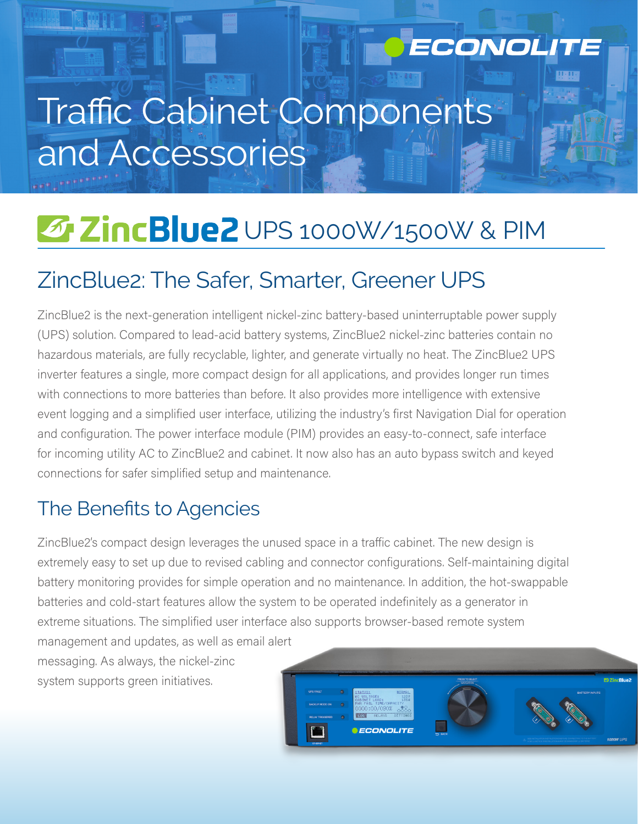# Traffic Cabinet Components and Accessories

## **E ZincBlue2** UPS 1000W/1500W & PIM

## ZincBlue2: The Safer, Smarter, Greener UPS

ZincBlue2 is the next-generation intelligent nickel-zinc battery-based uninterruptable power supply (UPS) solution. Compared to lead-acid battery systems, ZincBlue2 nickel-zinc batteries contain no hazardous materials, are fully recyclable, lighter, and generate virtually no heat. The ZincBlue2 UPS inverter features a single, more compact design for all applications, and provides longer run times with connections to more batteries than before. It also provides more intelligence with extensive event logging and a simplified user interface, utilizing the industry's first Navigation Dial for operation and configuration. The power interface module (PIM) provides an easy-to-connect, safe interface for incoming utility AC to ZincBlue2 and cabinet. It now also has an auto bypass switch and keyed connections for safer simplified setup and maintenance.

## The Benefits to Agencies

ZincBlue2's compact design leverages the unused space in a traffic cabinet. The new design is extremely easy to set up due to revised cabling and connector configurations. Self-maintaining digital battery monitoring provides for simple operation and no maintenance. In addition, the hot-swappable batteries and cold-start features allow the system to be operated indefinitely as a generator in extreme situations. The simplified user interface also supports browser-based remote system

management and updates, as well as email alert messaging. As always, the nickel-zinc system supports green initiatives.



ECONOLITE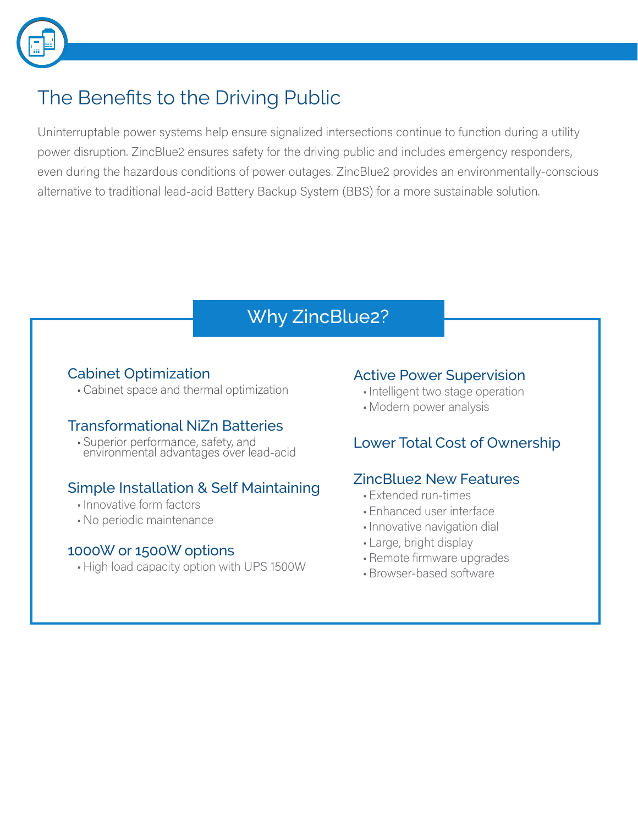

## The Benefits to the Driving Public

Uninterruptable power systems help ensure signalized intersections continue to function during a utility power disruption. ZincBlue2 ensures safety for the driving public and includes emergency responders, even during the hazardous conditions of power outages. ZincBlue2 provides an environmentally-conscious alternative to traditional lead-acid Battery Backup System (BBS) for a more sustainable solution.

## Why ZincBlue2?

#### Cabinet Optimization

•Cabinet space and thermal optimization

#### Transformational NiZn Batteries

• Superior performance, safety, and environmental advantages over lead-acid

#### Simple Installation & Self Maintaining

- •Innovative form factors
- No periodic maintenance

#### 1000W or 1500W options

• High load capacity option with UPS 1500W

#### Active Power Supervision

- •Intelligent two stage operation
- Modern power analysis

#### Lower Total Cost of Ownership

#### ZincBlue2 New Features

- Extended run-times
- Enhanced user interface
- •Innovative navigation dial
- Large, bright display
- •Remote firmware upgrades
- •Browser-based software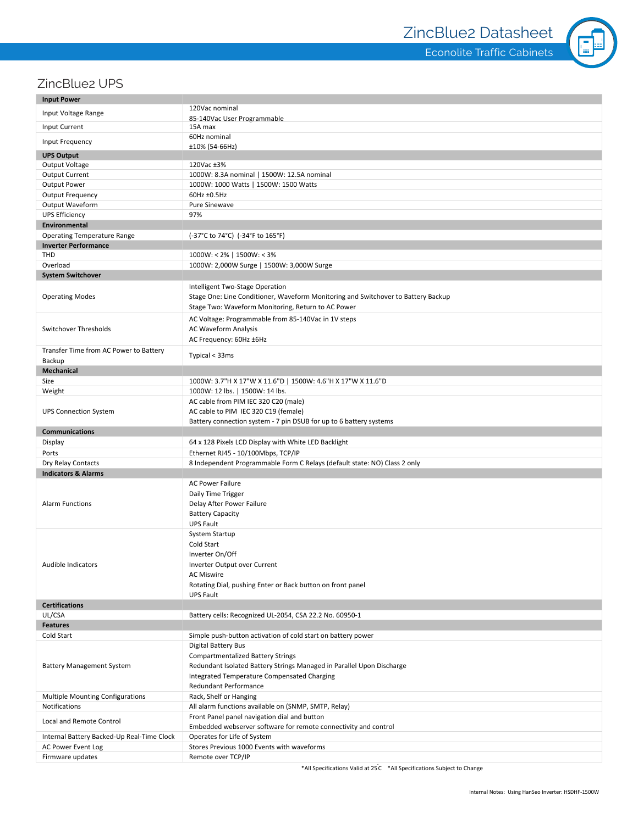Econolite Traffic Cabinets



#### ZincBlue2 UPS

| <b>Input Power</b>                         |                                                                                   |
|--------------------------------------------|-----------------------------------------------------------------------------------|
|                                            | 120Vac nominal                                                                    |
| Input Voltage Range                        | 85-140Vac User Programmable                                                       |
| <b>Input Current</b>                       | 15A max                                                                           |
| Input Frequency                            | 60Hz nominal                                                                      |
| <b>UPS Output</b>                          | ±10% (54-66Hz)                                                                    |
| Output Voltage                             | 120Vac ±3%                                                                        |
| <b>Output Current</b>                      | 1000W: 8.3A nominal   1500W: 12.5A nominal                                        |
| <b>Output Power</b>                        | 1000W: 1000 Watts   1500W: 1500 Watts                                             |
| <b>Output Frequency</b>                    | 60Hz ±0.5Hz                                                                       |
| Output Waveform                            | <b>Pure Sinewave</b>                                                              |
| <b>UPS Efficiency</b>                      | 97%                                                                               |
| Environmental                              |                                                                                   |
| <b>Operating Temperature Range</b>         | (-37°C to 74°C) (-34°F to 165°F)                                                  |
| <b>Inverter Performance</b>                |                                                                                   |
| THD                                        | $1000W: < 2\%$   1500W: < 3%                                                      |
| Overload                                   | 1000W: 2,000W Surge   1500W: 3,000W Surge                                         |
| <b>System Switchover</b>                   |                                                                                   |
|                                            |                                                                                   |
| <b>Operating Modes</b>                     | Intelligent Two-Stage Operation                                                   |
|                                            | Stage One: Line Conditioner, Waveform Monitoring and Switchover to Battery Backup |
|                                            | Stage Two: Waveform Monitoring, Return to AC Power                                |
| Switchover Thresholds                      | AC Voltage: Programmable from 85-140Vac in 1V steps                               |
|                                            | AC Waveform Analysis                                                              |
|                                            | AC Frequency: 60Hz ±6Hz                                                           |
| Transfer Time from AC Power to Battery     | Typical < 33ms                                                                    |
| Backup                                     |                                                                                   |
| <b>Mechanical</b>                          |                                                                                   |
| Size                                       | 1000W: 3.7"H X 17"W X 11.6"D   1500W: 4.6"H X 17"W X 11.6"D                       |
| Weight                                     | 1000W: 12 lbs.   1500W: 14 lbs.                                                   |
|                                            | AC cable from PIM IEC 320 C20 (male)                                              |
| <b>UPS Connection System</b>               | AC cable to PIM IEC 320 C19 (female)                                              |
|                                            | Battery connection system - 7 pin DSUB for up to 6 battery systems                |
| <b>Communications</b>                      |                                                                                   |
| Display                                    | 64 x 128 Pixels LCD Display with White LED Backlight                              |
| Ports                                      | Ethernet RJ45 - 10/100Mbps, TCP/IP                                                |
| Dry Relay Contacts                         | 8 Independent Programmable Form C Relays (default state: NO) Class 2 only         |
| <b>Indicators &amp; Alarms</b>             |                                                                                   |
|                                            | <b>AC Power Failure</b>                                                           |
| <b>Alarm Functions</b>                     | Daily Time Trigger                                                                |
|                                            | Delay After Power Failure                                                         |
|                                            | <b>Battery Capacity</b>                                                           |
|                                            | <b>UPS Fault</b>                                                                  |
| Audible Indicators                         | System Startup                                                                    |
|                                            | Cold Start                                                                        |
|                                            | Inverter On/Off                                                                   |
|                                            |                                                                                   |
|                                            | Inverter Output over Current                                                      |
|                                            | <b>AC Miswire</b>                                                                 |
|                                            | Rotating Dial, pushing Enter or Back button on front panel                        |
|                                            | <b>UPS Fault</b>                                                                  |
| <b>Certifications</b>                      |                                                                                   |
|                                            |                                                                                   |
| UL/CSA                                     | Battery cells: Recognized UL-2054, CSA 22.2 No. 60950-1                           |
| <b>Features</b>                            |                                                                                   |
| Cold Start                                 | Simple push-button activation of cold start on battery power                      |
|                                            | Digital Battery Bus                                                               |
|                                            | <b>Compartmentalized Battery Strings</b>                                          |
| <b>Battery Management System</b>           | Redundant Isolated Battery Strings Managed in Parallel Upon Discharge             |
|                                            | Integrated Temperature Compensated Charging                                       |
|                                            | Redundant Performance                                                             |
| <b>Multiple Mounting Configurations</b>    | Rack, Shelf or Hanging                                                            |
| Notifications                              | All alarm functions available on (SNMP, SMTP, Relay)                              |
| Local and Remote Control                   | Front Panel panel navigation dial and button                                      |
|                                            | Embedded webserver software for remote connectivity and control                   |
| Internal Battery Backed-Up Real-Time Clock | Operates for Life of System                                                       |
| AC Power Event Log<br>Firmware updates     | Stores Previous 1000 Events with waveforms<br>Remote over TCP/IP                  |

\*All Specifications Valid at 25<sup>°</sup>C \*All Specifications Subject to Change